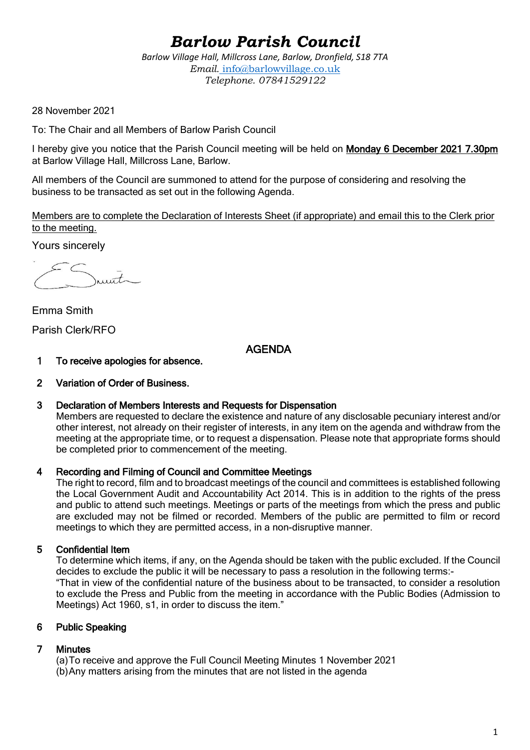# *Barlow Parish Council*

*Barlow Village Hall, Millcross Lane, Barlow, Dronfield, S18 7TA Email.* info@barlowvillage.co.uk *Telephone. 07841529122*

28 November 2021

To: The Chair and all Members of Barlow Parish Council

I hereby give you notice that the Parish Council meeting will be held on Monday 6 December 2021 7.30pm at Barlow Village Hall, Millcross Lane, Barlow.

All members of the Council are summoned to attend for the purpose of considering and resolving the business to be transacted as set out in the following Agenda.

Members are to complete the Declaration of Interests Sheet (if appropriate) and email this to the Clerk prior to the meeting.

Yours sincerely

 $int_{\sim}$ 

Emma Smith Parish Clerk/RFO

AGENDA

- 1 To receive apologies for absence.
- 2 Variation of Order of Business.
- 3 Declaration of Members Interests and Requests for Dispensation

Members are requested to declare the existence and nature of any disclosable pecuniary interest and/or other interest, not already on their register of interests, in any item on the agenda and withdraw from the meeting at the appropriate time, or to request a dispensation. Please note that appropriate forms should be completed prior to commencement of the meeting.

#### 4 Recording and Filming of Council and Committee Meetings

The right to record, film and to broadcast meetings of the council and committees is established following the Local Government Audit and Accountability Act 2014. This is in addition to the rights of the press and public to attend such meetings. Meetings or parts of the meetings from which the press and public are excluded may not be filmed or recorded. Members of the public are permitted to film or record meetings to which they are permitted access, in a non-disruptive manner.

# 5 Confidential Item

To determine which items, if any, on the Agenda should be taken with the public excluded. If the Council decides to exclude the public it will be necessary to pass a resolution in the following terms:- "That in view of the confidential nature of the business about to be transacted, to consider a resolution to exclude the Press and Public from the meeting in accordance with the Public Bodies (Admission to Meetings) Act 1960, s1, in order to discuss the item."

#### 6 Public Speaking

# 7 Minutes

(a)To receive and approve the Full Council Meeting Minutes 1 November 2021 (b)Any matters arising from the minutes that are not listed in the agenda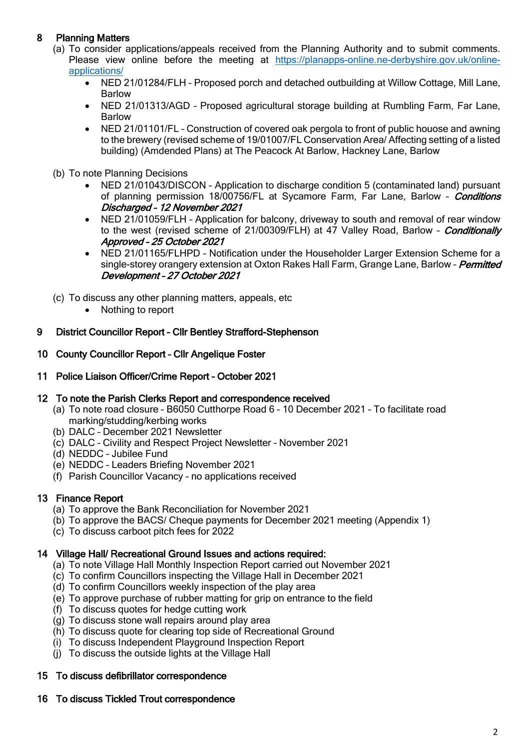# 8 Planning Matters

- (a) To consider applications/appeals received from the Planning Authority and to submit comments. Please view online before the meeting at [https://planapps-online.ne-derbyshire.gov.uk/online](https://planapps-online.ne-derbyshire.gov.uk/online-applications/)[applications/](https://planapps-online.ne-derbyshire.gov.uk/online-applications/)
	- NED 21/01284/FLH Proposed porch and detached outbuilding at Willow Cottage, Mill Lane, Barlow
	- NED 21/01313/AGD Proposed agricultural storage building at Rumbling Farm, Far Lane, Barlow
	- NED 21/01101/FL Construction of covered oak pergola to front of public houose and awning to the brewery (revised scheme of 19/01007/FL Conservation Area/ Affecting setting of a listed building) (Amdended Plans) at The Peacock At Barlow, Hackney Lane, Barlow
- (b) To note Planning Decisions
	- NED 21/01043/DISCON Application to discharge condition 5 (contaminated land) pursuant of planning permission 18/00756/FL at Sycamore Farm, Far Lane, Barlow - *Conditions* Discharged – 12 November 2021
	- NED 21/01059/FLH Application for balcony, driveway to south and removal of rear window to the west (revised scheme of 21/00309/FLH) at 47 Valley Road, Barlow - *Conditionally* Approved – 25 October 2021
	- NED 21/01165/FLHPD Notification under the Householder Larger Extension Scheme for a single-storey orangery extension at Oxton Rakes Hall Farm, Grange Lane, Barlow - *Permitted* Development – 27 October 2021
- (c) To discuss any other planning matters, appeals, etc
	- Nothing to report

#### 9 District Councillor Report – Cllr Bentley Strafford-Stephenson

#### 10 County Councillor Report – Cllr Angelique Foster

11 Police Liaison Officer/Crime Report – October 2021

#### 12 To note the Parish Clerks Report and correspondence received

- (a) To note road closure B6050 Cutthorpe Road 6 10 December 2021 To facilitate road marking/studding/kerbing works
- (b) DALC December 2021 Newsletter
- (c) DALC Civility and Respect Project Newsletter November 2021
- (d) NEDDC Jubilee Fund
- (e) NEDDC Leaders Briefing November 2021
- (f) Parish Councillor Vacancy no applications received

# 13 Finance Report

- (a) To approve the Bank Reconciliation for November 2021
- (b) To approve the BACS/ Cheque payments for December 2021 meeting (Appendix 1)
- (c) To discuss carboot pitch fees for 2022

#### 14 Village Hall/ Recreational Ground Issues and actions required:

- (a) To note Village Hall Monthly Inspection Report carried out November 2021
- (c) To confirm Councillors inspecting the Village Hall in December 2021
- (d) To confirm Councillors weekly inspection of the play area
- (e) To approve purchase of rubber matting for grip on entrance to the field
- (f) To discuss quotes for hedge cutting work
- (g) To discuss stone wall repairs around play area
- (h) To discuss quote for clearing top side of Recreational Ground
- (i) To discuss Independent Playground Inspection Report
- (j) To discuss the outside lights at the Village Hall

# 15 To discuss defibrillator correspondence

# 16 To discuss Tickled Trout correspondence